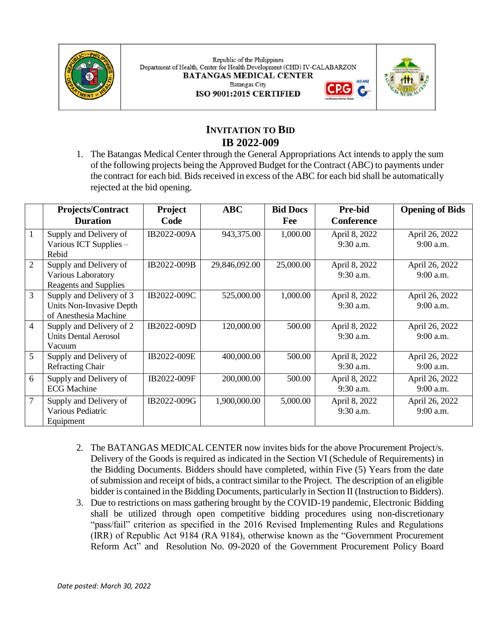

Republic of the Philippines Department of Health, Center for Health Development (CHD) IV-CALABARZON **BATANGAS MEDICAL CENTER Batangas City** ISO 9001:2015 CERTIFIED



**IAS-ANZ** 

G

# **INVITATION TO BID IB 2022-009**

1. The Batangas Medical Center through the General Appropriations Act intends to apply the sum of the following projects being the Approved Budget for the Contract (ABC) to payments under the contract for each bid. Bids received in excess of the ABC for each bid shall be automatically rejected at the bid opening.

|                | <b>Projects/Contract</b><br><b>Duration</b>                                   | Project<br>Code | <b>ABC</b>    | <b>Bid Docs</b><br>Fee | <b>Pre-bid</b><br>Conference | <b>Opening of Bids</b>        |
|----------------|-------------------------------------------------------------------------------|-----------------|---------------|------------------------|------------------------------|-------------------------------|
| 1              | Supply and Delivery of<br>Various ICT Supplies -<br>Rebid                     | IB2022-009A     | 943,375.00    | 1,000.00               | April 8, 2022<br>$9:30$ a.m. | April 26, 2022<br>$9:00$ a.m. |
| $\overline{2}$ | Supply and Delivery of<br>Various Laboratory<br>Reagents and Supplies         | IB2022-009B     | 29,846,092.00 | 25,000.00              | April 8, 2022<br>9:30 a.m.   | April 26, 2022<br>9:00 a.m.   |
| 3              | Supply and Delivery of 3<br>Units Non-Invasive Depth<br>of Anesthesia Machine | IB2022-009C     | 525,000.00    | 1,000.00               | April 8, 2022<br>$9:30$ a.m. | April 26, 2022<br>9:00 a.m.   |
| 4              | Supply and Delivery of 2<br><b>Units Dental Aerosol</b><br>Vacuum             | IB2022-009D     | 120,000.00    | 500.00                 | April 8, 2022<br>9:30 a.m.   | April 26, 2022<br>$9:00$ a.m. |
| 5              | Supply and Delivery of<br><b>Refracting Chair</b>                             | IB2022-009E     | 400,000.00    | 500.00                 | April 8, 2022<br>$9:30$ a.m. | April 26, 2022<br>9:00 a.m.   |
| 6              | Supply and Delivery of<br><b>ECG</b> Machine                                  | IB2022-009F     | 200,000.00    | 500.00                 | April 8, 2022<br>9:30 a.m.   | April 26, 2022<br>9:00 a.m.   |
| 7              | Supply and Delivery of<br>Various Pediatric<br>Equipment                      | IB2022-009G     | 1,900,000.00  | 5,000.00               | April 8, 2022<br>9:30 a.m.   | April 26, 2022<br>9:00 a.m.   |

- 2. The BATANGAS MEDICAL CENTER now invites bids for the above Procurement Project/s. Delivery of the Goods is required as indicated in the Section VI (Schedule of Requirements) in the Bidding Documents. Bidders should have completed, within Five (5) Years from the date of submission and receipt of bids, a contract similar to the Project. The description of an eligible bidder is contained in the Bidding Documents, particularly in Section II (Instruction to Bidders).
- 3. Due to restrictions on mass gathering brought by the COVID-19 pandemic, Electronic Bidding shall be utilized through open competitive bidding procedures using non-discretionary "pass/fail" criterion as specified in the 2016 Revised Implementing Rules and Regulations (IRR) of Republic Act 9184 (RA 9184), otherwise known as the "Government Procurement Reform Act" and Resolution No. 09-2020 of the Government Procurement Policy Board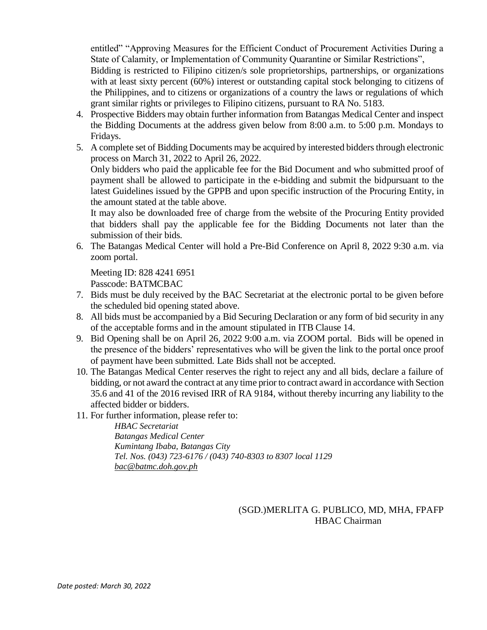entitled" "Approving Measures for the Efficient Conduct of Procurement Activities During a State of Calamity, or Implementation of Community Quarantine or Similar Restrictions",

Bidding is restricted to Filipino citizen/s sole proprietorships, partnerships, or organizations with at least sixty percent (60%) interest or outstanding capital stock belonging to citizens of the Philippines, and to citizens or organizations of a country the laws or regulations of which grant similar rights or privileges to Filipino citizens, pursuant to RA No. 5183.

- 4. Prospective Bidders may obtain further information from Batangas Medical Center and inspect the Bidding Documents at the address given below from 8:00 a.m. to 5:00 p.m. Mondays to Fridays.
- 5. A complete set of Bidding Documents may be acquired by interested bidders through electronic process on March 31, 2022 to April 26, 2022.

Only bidders who paid the applicable fee for the Bid Document and who submitted proof of payment shall be allowed to participate in the e-bidding and submit the bidpursuant to the latest Guidelines issued by the GPPB and upon specific instruction of the Procuring Entity, in the amount stated at the table above.

It may also be downloaded free of charge from the website of the Procuring Entity provided that bidders shall pay the applicable fee for the Bidding Documents not later than the submission of their bids.

6. The Batangas Medical Center will hold a Pre-Bid Conference on April 8, 2022 9:30 a.m. via zoom portal.

Meeting ID: 828 4241 6951

Passcode: BATMCBAC

- 7. Bids must be duly received by the BAC Secretariat at the electronic portal to be given before the scheduled bid opening stated above.
- 8. All bids must be accompanied by a Bid Securing Declaration or any form of bid security in any of the acceptable forms and in the amount stipulated in ITB Clause 14.
- 9. Bid Opening shall be on April 26, 2022 9:00 a.m. via ZOOM portal. Bids will be opened in the presence of the bidders' representatives who will be given the link to the portal once proof of payment have been submitted. Late Bids shall not be accepted.
- 10. The Batangas Medical Center reserves the right to reject any and all bids, declare a failure of bidding, or not award the contract at any time prior to contract award in accordance with Section 35.6 and 41 of the 2016 revised IRR of RA 9184, without thereby incurring any liability to the affected bidder or bidders.
- 11. For further information, please refer to:

*HBAC Secretariat Batangas Medical Center Kumintang Ibaba, Batangas City Tel. Nos. (043) 723-6176 / (043) 740-8303 to 8307 local 1129 [bac@batmc.doh.gov.ph](mailto:bac@batmc.doh.gov.ph)*

> (SGD.)MERLITA G. PUBLICO, MD, MHA, FPAFP HBAC Chairman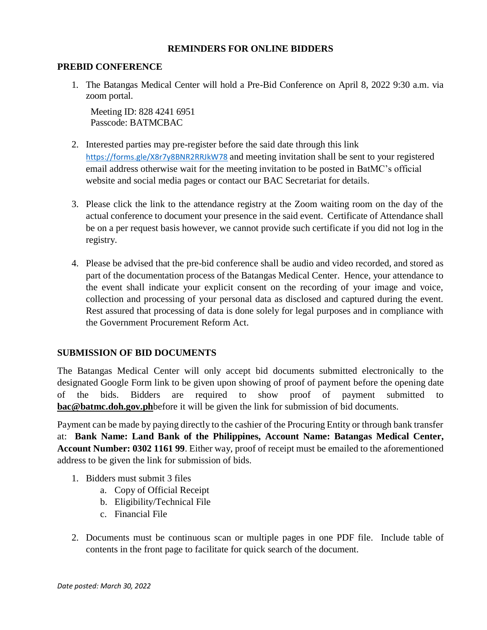### **REMINDERS FOR ONLINE BIDDERS**

#### **PREBID CONFERENCE**

1. The Batangas Medical Center will hold a Pre-Bid Conference on April 8, 2022 9:30 a.m. via zoom portal.

Meeting ID: 828 4241 6951 Passcode: BATMCBAC

- 2. Interested parties may pre-register before the said date through this link <https://forms.gle/X8r7y8BNR2RRJkW78> and meeting invitation shall be sent to your registered email address otherwise wait for the meeting invitation to be posted in BatMC's official website and social media pages or contact our BAC Secretariat for details.
- 3. Please click the link to the attendance registry at the Zoom waiting room on the day of the actual conference to document your presence in the said event. Certificate of Attendance shall be on a per request basis however, we cannot provide such certificate if you did not log in the registry.
- 4. Please be advised that the pre-bid conference shall be audio and video recorded, and stored as part of the documentation process of the Batangas Medical Center. Hence, your attendance to the event shall indicate your explicit consent on the recording of your image and voice, collection and processing of your personal data as disclosed and captured during the event. Rest assured that processing of data is done solely for legal purposes and in compliance with the Government Procurement Reform Act.

## **SUBMISSION OF BID DOCUMENTS**

The Batangas Medical Center will only accept bid documents submitted electronically to the designated Google Form link to be given upon showing of proof of payment before the opening date of the bids. Bidders are required to show proof of payment submitted to **[bac@batmc.doh.gov.ph](mailto:bac@batmc.doh.gov.ph)**before it will be given the link for submission of bid documents.

Payment can be made by paying directly to the cashier of the Procuring Entity or through bank transfer at: **Bank Name: Land Bank of the Philippines, Account Name: Batangas Medical Center, Account Number: 0302 1161 99**. Either way, proof of receipt must be emailed to the aforementioned address to be given the link for submission of bids.

- 1. Bidders must submit 3 files
	- a. Copy of Official Receipt
	- b. Eligibility/Technical File
	- c. Financial File
- 2. Documents must be continuous scan or multiple pages in one PDF file. Include table of contents in the front page to facilitate for quick search of the document.